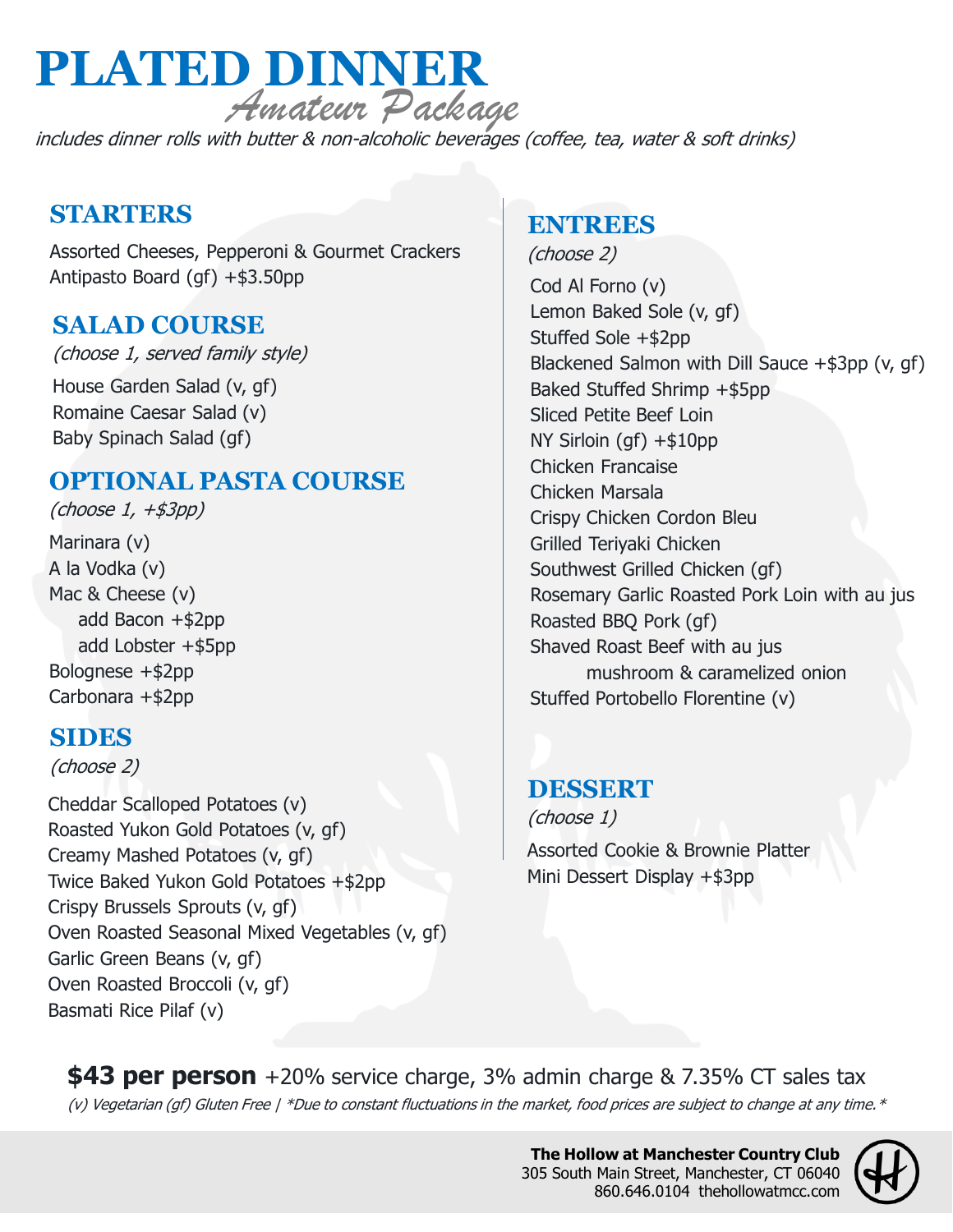# **PLATED DINNER** Amateur Package

includes dinner rolls with butter & non-alcoholic beverages (coffee, tea, water & soft drinks)

## **STARTERS**

Assorted Cheeses, Pepperoni & Gourmet Crackers Antipasto Board (gf) +\$3.50pp

## **SALAD COURSE**

(choose 1, served family style)

House Garden Salad (v, gf) Romaine Caesar Salad (v) Baby Spinach Salad (gf)

# **OPTIONAL PASTA COURSE**

Marinara (v) A la Vodka (v) Mac & Cheese (v) add Bacon +\$2pp add Lobster +\$5pp Bolognese +\$2pp Carbonara +\$2pp (choose 1, +\$3pp)

#### **SIDES**

(choose 2)

Cheddar Scalloped Potatoes (v) Roasted Yukon Gold Potatoes (v, gf) Creamy Mashed Potatoes (v, gf) Twice Baked Yukon Gold Potatoes +\$2pp Crispy Brussels Sprouts (v, gf) Oven Roasted Seasonal Mixed Vegetables (v, gf) Garlic Green Beans (v, gf) Oven Roasted Broccoli (v, gf) Basmati Rice Pilaf (v)

## **ENTREES**

(choose 2) Cod Al Forno (v) Lemon Baked Sole (v, gf) Stuffed Sole +\$2pp Blackened Salmon with Dill Sauce +\$3pp (v, gf) Baked Stuffed Shrimp +\$5pp Sliced Petite Beef Loin NY Sirloin (gf) +\$10pp Chicken Francaise Chicken Marsala Crispy Chicken Cordon Bleu Grilled Teriyaki Chicken Southwest Grilled Chicken (gf) Rosemary Garlic Roasted Pork Loin with au jus Roasted BBQ Pork (gf) Shaved Roast Beef with au jus mushroom & caramelized onion Stuffed Portobello Florentine (v)

#### **DESSERT**

Assorted Cookie & Brownie Platter Mini Dessert Display +\$3pp (choose 1)

(v) Vegetarian (gf) Gluten Free | \*Due to constant fluctuations in the market, food prices are subject to change at any time. \* **\$43 per person** +20% service charge, 3% admin charge & 7.35% CT sales tax